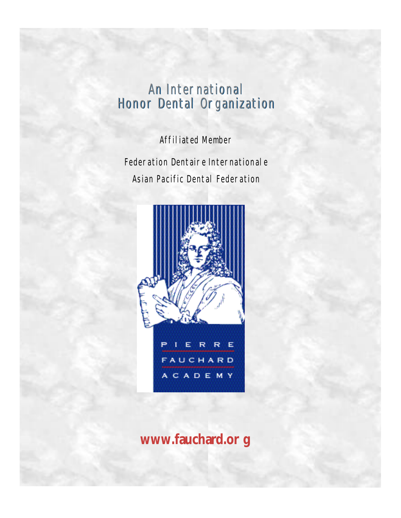# An International Honor Dental Organization

Affiliated Member

Federation Dentaire Internationale Asian Pacific Dental Federation



**www.fauchard.or g**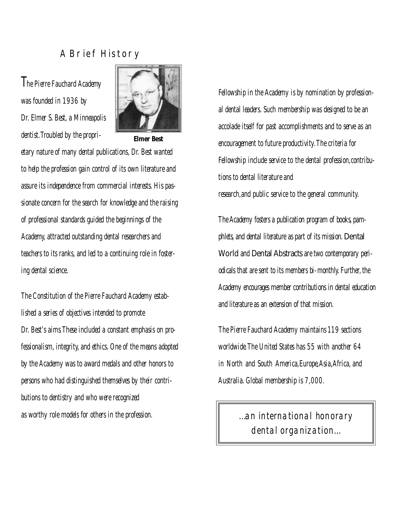## A Brief History

**The Pierre Fauchard Academy** *was founded in 1936 by Dr. Elmer S. Best,a Minneapolis dentist.Troubled by the propri-*



**Elmer Best**

*etary nature of many dental publications, Dr. Best wanted to help the profession gain control of its own literature and assure its independence from commercial interests.His passionate concern for the search for knowledge and the raising of professional standards guided the beginnings of the Academy, attracted outstanding dental researchers and* teachers to *its ranks, and led to a continuing role in fostering dental science.*

*The Constitution of the Pierre Fauchard Academy established a series of objectives intended to promote Dr. Best's aims.These included a constant emphasis on professionalism, integrity,and ethics. One of the means adopted by the Academy was to award medals and other honors to persons who had distinguished themselves by their contributions to dentistry and who were recognized as worthy role models for others in the profession.*

*Fellowship in the Academy is by nomination by professional dental leaders.Such membership was designed to be an accolade itself for past accomplishments and to serve as an encouragement to future productivity.The criteria for Fellowship include service to the dental profession,contributions to dental literature and research,and public service to the general community.*

The Academy fosters a publication program of books, pam*phlets, and dental literature as part of its mission. Dental* World and Dental Abstracts are two contemporary peri*dicals that are sent to its members bi-monthly. Further, the* A cademy encourages member contributions in dental education *and literature as an extension of that mission.* 

*The Pierre Fauchard Academy maintains 119 sections worldwide.The United States has 55 with another 64 in North and South America,Europe,Asia,Africa,and Australia. Global membership is 7,000.*

> *…an international honorary dental organization…*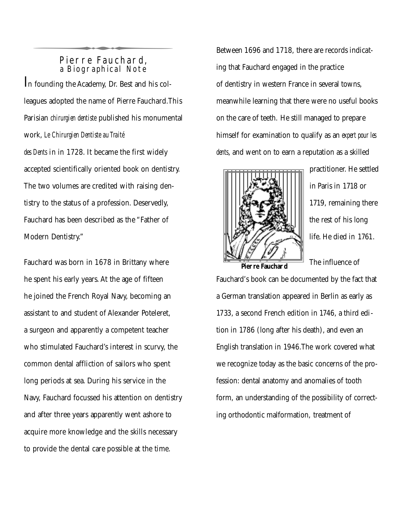#### Pierre Fauchard, a Biographical Note

In founding the Academy, Dr. Best and his colleagues adopted the name of Pierre Fauchard. This Parisian *chirurgien dentiste* published his monumental work, Le Chirurgien Dentiste au Traité *des Dents* in in 1728. It became the first widely accepted scientifically oriented book on dentistry. The two volumes are credited with raising dentistry to the status of a profession. Deservedly, Fauchard has been described as the "Father of Modern Dentistry." Pierre Fauchard,<br>a Biographical Note<br>n founding the Academy, Dr. Best and his col-

Fauchard was born in 1678 in Brittany where he spent his early years. At the age of fifteen he joined the French Royal Navy, becoming an assistant to and student of Alexander Poteleret, a surgeon and apparently a competent teacher who stimulated Fauchard's interest in scurvy, the common dental affliction of sailors who spent long periods at sea. During his service in the Navy, Fauchard focussed his attention on dentistry and after three years apparently went ashore to acquire more knowledge and the skills necessary to provide the dental care possible at the time.

Between 1696 and 1718, there are records indicating that Fauchard engaged in the practice of dentistry in western France in several towns, meanwhile learning that there were no useful books on the care of teeth. He still managed to prepare himself for examination to qualify as an *expert pour les dents*, and went on to earn a reputation as a skilled



practitioner. He settled in Paris in 1718 or 1719, remaining there the rest of his long life. He died in 1761.

**Pier re Fauchar d**

The influence of

Fauchard's book can be documented by the fact that a German translation appeared in Berlin as early as 1733, a second French edition in 1746, a third edition in 1786 (long after his death), and even an English translation in 1946.The work covered what we recognize today as the basic concerns of the profession: dental anatomy and anomalies of tooth form, an understanding of the possibility of correcting orthodontic malformation, treatment of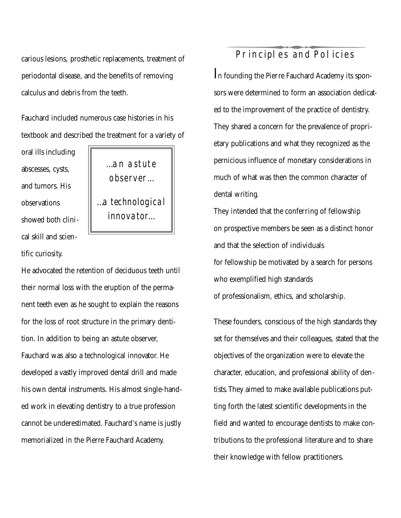carious lesions, prosthetic replacements, treatment of periodontal disease, and the benefits of removing calculus and debris from the teeth.

Fauchard included numerous case histories in his textbook and described the treatment for a variety of

oral ills including abscesses, cysts, and tumors. His observations showed both clinical skill and scientific curiosity.

*…an astute o b s e r v e r … …a technological innovator…*

He advocated the retention of deciduous teeth until their normal loss with the eruption of the permanent teeth even as he sought to explain the reasons for the loss of root structure in the primary dentition. In addition to being an astute observer, Fauchard was also a technological innovator. He developed a vastly improved dental drill and made his own dental instruments. His almost single-handed work in elevating dentistry to a true profession cannot be underestimated. Fauchard's name is justly memorialized in the Pierre Fauchard Academy.

# Principles and Policies

In founding the Pierre Fauchard Academy its sponsors were determined to form an association dedicated to the improvement of the practice of dentistry. They shared a concern for the prevalence of proprietary publications and what they recognized as the pernicious influence of monetary considerations in much of what was then the common character of dental writing. Principl es and Policies<br>founding the Pierre Fauchard Academy its spor<br>s were determined to form an association dedic

They intended that the conferring of fellowship on prospective members be seen as a distinct honor and that the selection of individuals for fellowship be motivated by a search for persons who exemplified high standards of professionalism, ethics, and scholarship.

These founders, conscious of the high standards they set for themselves and their colleagues, stated that the objectives of the organization were to elevate the character, education, and professional ability of dentists.They aimed to make available publications putting forth the latest scientific developments in the field and wanted to encourage dentists to make contributions to the professional literature and to share their knowledge with fellow practitioners.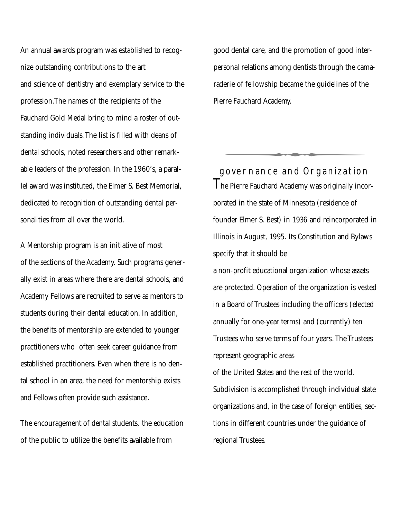An annual awards program was established to recognize outstanding contributions to the art and science of dentistry and exemplary service to the profession.The names of the recipients of the Fauchard Gold Medal bring to mind a roster of outstanding individuals.The list is filled with deans of dental schools, noted researchers and other remarkable leaders of the profession. In the 1960's, a parallel award was instituted, the Elmer S. Best Memorial, dedicated to recognition of outstanding dental personalities from all over the world.

A Mentorship program is an initiative of most of the sections of the Academy. Such programs generally exist in areas where there are dental schools, and Academy Fellows are recruited to serve as mentors to students during their dental education. In addition, the benefits of mentorship are extended to younger practitioners who often seek career guidance from established practitioners. Even when there is no dental school in an area, the need for mentorship exists and Fellows often provide such assistance.

The encouragement of dental students, the education of the public to utilize the benefits available from

good dental care, and the promotion of good interpersonal relations among dentists through the camaraderie of fellowship became the guidelines of the Pierre Fauchard Academy.

T he Pier re Fauchard Academy was originally incorgovernance and Organization sonal relations among dentists through the car<br>lerie of fellowship became the guidelines of the<br>rre Fauchard Academy.<br>Sover nance and Organization<br>e Pierre Fauchard Academy was originally ince<br>rated in the state of Minneso porated in the state of Minnesota (residence of founder Elmer S. Best) in 1936 and reincorporated in Illinois in August, 1995. Its Constitution and Bylaws specify that it should be a non-profit educational organization whose assets are protected. Operation of the organization is vested in a Board of Trustees including the officers (elected annually for one-year terms) and (currently) ten Trustees who serve terms of four years. The Trustees represent geographic areas of the United States and the rest of the world. Subdivision is accomplished through individual state organizations and, in the case of foreign entities, sections in different countries under the guidance of regional Trustees.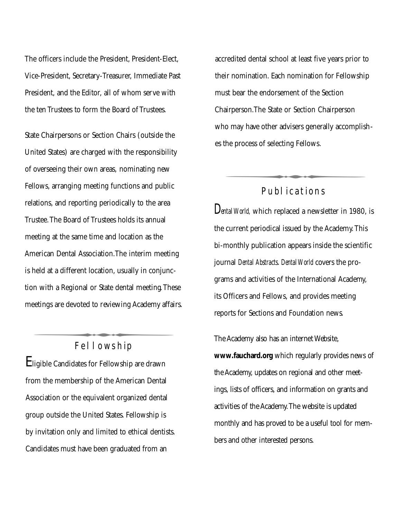The officers include the President, President-Elect, Vice-President, Secretary-Treasurer, Immediate Past President, and the Editor, all of whom serve with the ten Trustees to form the Board of Trustees.

State Chairpersons or Section Chairs (outside the United States) are charged with the responsibility of overseeing their own areas, nominating new Fellows, arranging meeting functions and public relations, and reporting periodically to the area Trustee.The Board of Trustees holds its annual meeting at the same time and location as the American Dental Association.The interim meeting is held at a different location, usually in conjunction with a Regional or State dental meeting.These meetings are de voted to reviewing Academy affairs. merican Dental Association.The interim meetin<br>
held at a different location, usually in conjunc-<br>
on with a Regional or State dental meeting.The<br>
eetings are devoted to reviewing Academy affai<br>
Fellowship<br>
Higible Candidat

#### Fellowship

Eligible Candidates for Fellowship are drawn from the membership of the American Dental Association or the equivalent organized dental group outside the United States. Fellowship is by invitation only and limited to ethical dentists. Candidates must have been graduated from an

accredited dental school at least five years prior to their nomination. Each nomination for Fellowship must bear the endorsement of the Section Chairperson.The State or Section Chairperson who may have other advisers generally accomplishes the process of selecting Fellows . Ust bear the endorsement of the Section<br>
Mairperson.The State or Section Chairperson<br>
The process of selecting Fellows.<br>
Publ ications<br>
Publ ications<br>
Publ ications<br>
Publ ications<br>
Publ ications

## Publ ications

*Dental World,* which replaced a newsletter in 1980, is the current periodical issued by the Academy. This bi-monthly publication appears inside the scientific journal *Dental Abstracts*. *Dental World* covers the programs and activities of the International Academy, its Officers and Fellows, and provides meeting reports for Sections and Foundation news.

The Academy also has an internet Website, www.fauchard.org which regularly provides news of the Academy, updates on regional and other meetings, lists of officers, and information on grants and activities of the Academy. The website is updated monthly and has proved to be a useful tool for members and other interested persons.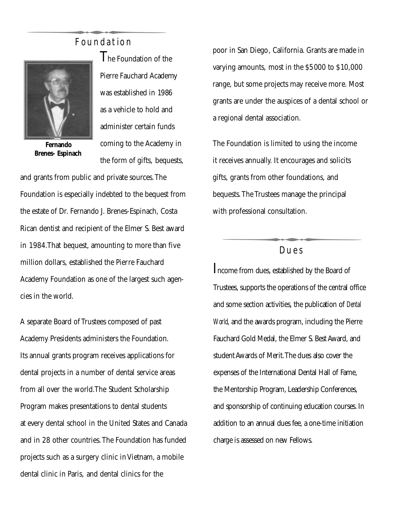# Foundation



**Fernando Brenes- Espinach**

The Foundation of the Pierre Fauchard Academy was established in 1986 as a vehicle to hold and administer certain funds coming to the Academy in the form of gifts, bequests, Foundation<br>
The Foundation of th<br>
Pierre Fauchard Acade

and grants from public and private sources.The Foundation is especially indebted to the bequest from the estate of Dr. Fernando J. Brenes-Espinach, Costa Rican dentist and recipient of the Elmer S. Best award in 1984.That bequest, amounting to more than five million dollars, established the Pierre Fauchard Academy Foundation as one of the largest such agencies in the world.

A separate Board of Trustees composed of past Academy Presidents administers the Foundation. Its annual grants program receives applications for dental projects in a number of dental service areas from all over the world.The Student Scholarship Program makes presentations to dental students at every dental school in the United States and Canada and in 28 other countries. The Foundation has funded projects such as a surgery clinic in Vietnam, a mobile dental clinic in Paris, and dental clinics for the

poor in San Diego, California. Grants are made in varying amounts, most in the \$5000 to \$10,000 range, but some projects may receive more. Most grants are under the auspices of a dental school or a regional dental association.

The Foundation is limited to using the income it receives annually. It encourages and solicits gifts, grants from other foundations, and bequests. The Trustees manage the principal with professional consultation. receives annually. It encourages and solicits<br>fts, grants from other foundations, and<br>equests. The Trustees manage the principal<br>ith professional consultation.<br>Dues<br>come from dues, established by the Board of<br>ustees, suppo

#### Dues

I ncome from dues, established by the Board of Trustees, supports the operations of the central office and some section activities, the publication of Dental *World, and the awards program, including the Pierre* Fauchard Gold Medal, the Elmer S. Best Award, and student Awards of Merit. The dues also cover the expenses of the International Dental Hall of Fame, the Mentorship Program, Leadership Conferences, and sponsorship of continuing education courses. In addition to an annual dues fee, a one-time initiation charge is assessed on new Fellows.